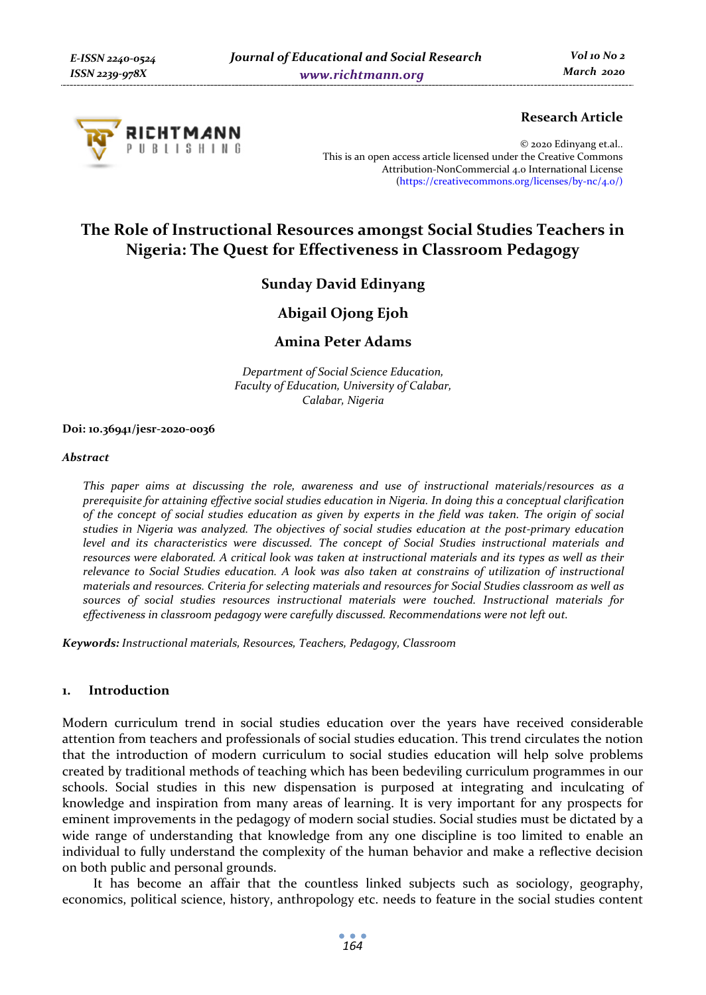

### **Research Article**

© 2020 Edinyang et.al.. This is an open access article licensed under the Creative Commons Attribution-NonCommercial 4.0 International License (https://creativecommons.org/licenses/by-nc/4.0/)

# **The Role of Instructional Resources amongst Social Studies Teachers in Nigeria: The Quest for Effectiveness in Classroom Pedagogy**

## **Sunday David Edinyang**

## **Abigail Ojong Ejoh**

## **Amina Peter Adams**

*Department of Social Science Education, Faculty of Education, University of Calabar, Calabar, Nigeria* 

#### **Doi: 10.36941/jesr-2020-0036**

#### *Abstract*

*This paper aims at discussing the role, awareness and use of instructional materials/resources as a prerequisite for attaining effective social studies education in Nigeria. In doing this a conceptual clarification of the concept of social studies education as given by experts in the field was taken. The origin of social studies in Nigeria was analyzed. The objectives of social studies education at the post-primary education level and its characteristics were discussed. The concept of Social Studies instructional materials and resources were elaborated. A critical look was taken at instructional materials and its types as well as their relevance to Social Studies education. A look was also taken at constrains of utilization of instructional materials and resources. Criteria for selecting materials and resources for Social Studies classroom as well as sources of social studies resources instructional materials were touched. Instructional materials for effectiveness in classroom pedagogy were carefully discussed. Recommendations were not left out.* 

*Keywords: Instructional materials, Resources, Teachers, Pedagogy, Classroom* 

#### **1. Introduction**

Modern curriculum trend in social studies education over the years have received considerable attention from teachers and professionals of social studies education. This trend circulates the notion that the introduction of modern curriculum to social studies education will help solve problems created by traditional methods of teaching which has been bedeviling curriculum programmes in our schools. Social studies in this new dispensation is purposed at integrating and inculcating of knowledge and inspiration from many areas of learning. It is very important for any prospects for eminent improvements in the pedagogy of modern social studies. Social studies must be dictated by a wide range of understanding that knowledge from any one discipline is too limited to enable an individual to fully understand the complexity of the human behavior and make a reflective decision on both public and personal grounds.

It has become an affair that the countless linked subjects such as sociology, geography, economics, political science, history, anthropology etc. needs to feature in the social studies content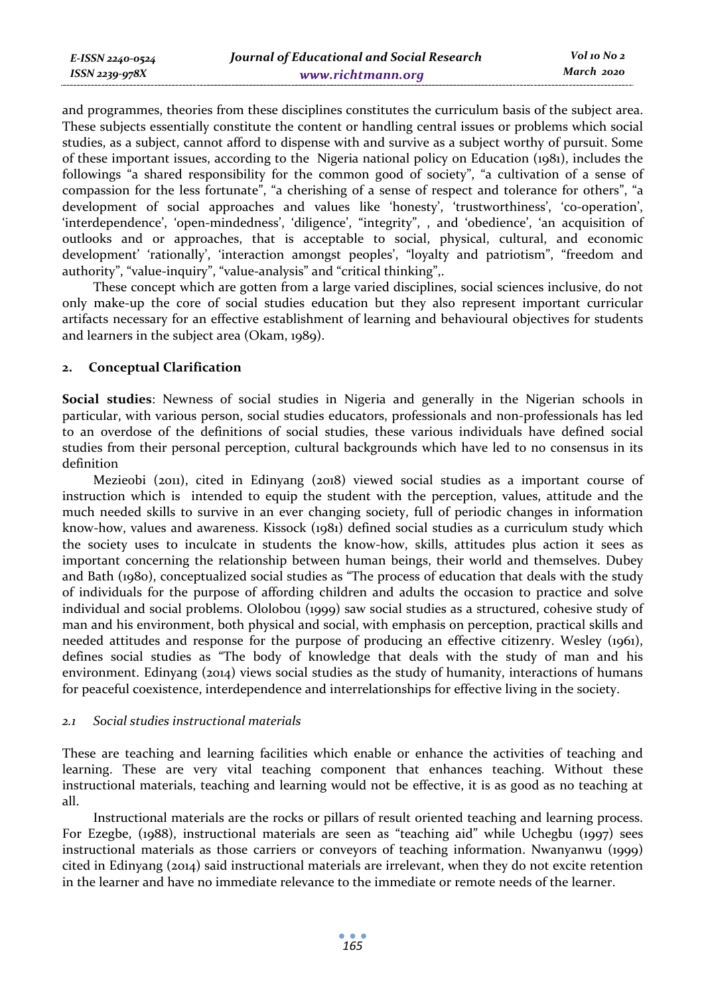and programmes, theories from these disciplines constitutes the curriculum basis of the subject area. These subjects essentially constitute the content or handling central issues or problems which social studies, as a subject, cannot afford to dispense with and survive as a subject worthy of pursuit. Some of these important issues, according to the Nigeria national policy on Education (1981), includes the followings "a shared responsibility for the common good of society", "a cultivation of a sense of compassion for the less fortunate", "a cherishing of a sense of respect and tolerance for others", "a development of social approaches and values like 'honesty', 'trustworthiness', 'co-operation', 'interdependence', 'open-mindedness', 'diligence', "integrity", , and 'obedience', 'an acquisition of outlooks and or approaches, that is acceptable to social, physical, cultural, and economic development' 'rationally', 'interaction amongst peoples', "loyalty and patriotism", "freedom and authority", "value-inquiry", "value-analysis" and "critical thinking",.

These concept which are gotten from a large varied disciplines, social sciences inclusive, do not only make-up the core of social studies education but they also represent important curricular artifacts necessary for an effective establishment of learning and behavioural objectives for students and learners in the subject area (Okam, 1989).

#### **2. Conceptual Clarification**

**Social studies**: Newness of social studies in Nigeria and generally in the Nigerian schools in particular, with various person, social studies educators, professionals and non-professionals has led to an overdose of the definitions of social studies, these various individuals have defined social studies from their personal perception, cultural backgrounds which have led to no consensus in its definition

Mezieobi (2011), cited in Edinyang (2018) viewed social studies as a important course of instruction which is intended to equip the student with the perception, values, attitude and the much needed skills to survive in an ever changing society, full of periodic changes in information know-how, values and awareness. Kissock (1981) defined social studies as a curriculum study which the society uses to inculcate in students the know-how, skills, attitudes plus action it sees as important concerning the relationship between human beings, their world and themselves. Dubey and Bath (1980), conceptualized social studies as "The process of education that deals with the study of individuals for the purpose of affording children and adults the occasion to practice and solve individual and social problems. Ololobou (1999) saw social studies as a structured, cohesive study of man and his environment, both physical and social, with emphasis on perception, practical skills and needed attitudes and response for the purpose of producing an effective citizenry. Wesley (1961), defines social studies as "The body of knowledge that deals with the study of man and his environment. Edinyang (2014) views social studies as the study of humanity, interactions of humans for peaceful coexistence, interdependence and interrelationships for effective living in the society.

### *2.1 Social studies instructional materials*

These are teaching and learning facilities which enable or enhance the activities of teaching and learning. These are very vital teaching component that enhances teaching. Without these instructional materials, teaching and learning would not be effective, it is as good as no teaching at all.

Instructional materials are the rocks or pillars of result oriented teaching and learning process. For Ezegbe, (1988), instructional materials are seen as "teaching aid" while Uchegbu (1997) sees instructional materials as those carriers or conveyors of teaching information. Nwanyanwu (1999) cited in Edinyang (2014) said instructional materials are irrelevant, when they do not excite retention in the learner and have no immediate relevance to the immediate or remote needs of the learner.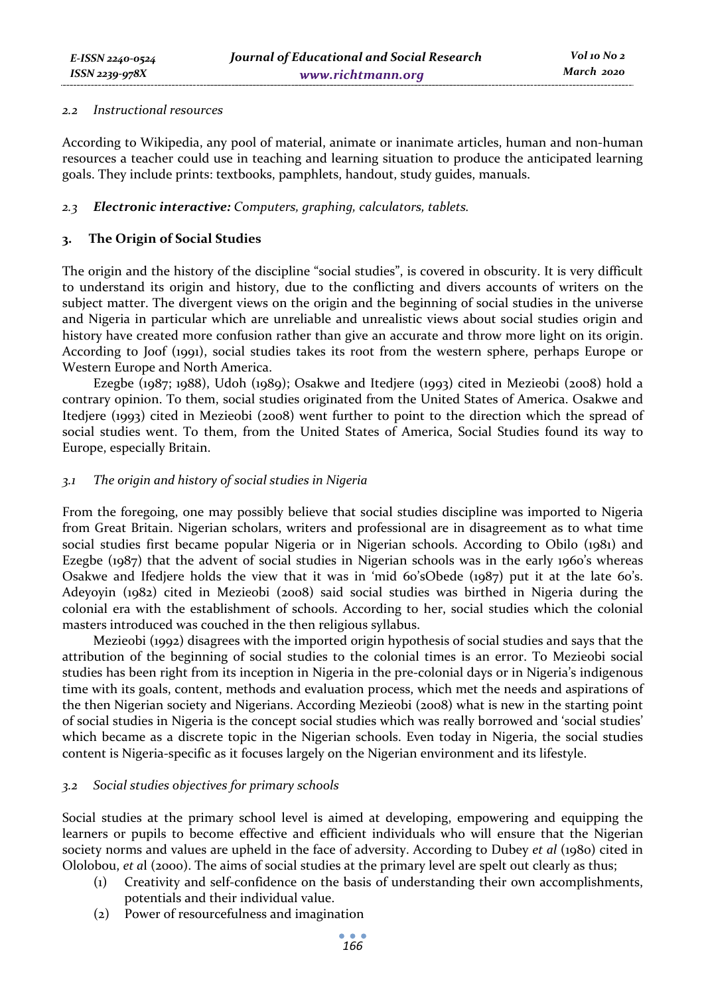#### *2.2 Instructional resources*

According to Wikipedia, any pool of material, animate or inanimate articles, human and non-human resources a teacher could use in teaching and learning situation to produce the anticipated learning goals. They include prints: textbooks, pamphlets, handout, study guides, manuals.

#### *2.3 Electronic interactive: Computers, graphing, calculators, tablets.*

### **3. The Origin of Social Studies**

The origin and the history of the discipline "social studies", is covered in obscurity. It is very difficult to understand its origin and history, due to the conflicting and divers accounts of writers on the subject matter. The divergent views on the origin and the beginning of social studies in the universe and Nigeria in particular which are unreliable and unrealistic views about social studies origin and history have created more confusion rather than give an accurate and throw more light on its origin. According to Joof (1991), social studies takes its root from the western sphere, perhaps Europe or Western Europe and North America.

Ezegbe (1987; 1988), Udoh (1989); Osakwe and Itedjere (1993) cited in Mezieobi (2008) hold a contrary opinion. To them, social studies originated from the United States of America. Osakwe and Itedjere (1993) cited in Mezieobi (2008) went further to point to the direction which the spread of social studies went. To them, from the United States of America, Social Studies found its way to Europe, especially Britain.

#### *3.1 The origin and history of social studies in Nigeria*

From the foregoing, one may possibly believe that social studies discipline was imported to Nigeria from Great Britain. Nigerian scholars, writers and professional are in disagreement as to what time social studies first became popular Nigeria or in Nigerian schools. According to Obilo (1981) and Ezegbe (1987) that the advent of social studies in Nigerian schools was in the early 1960's whereas Osakwe and Ifedjere holds the view that it was in 'mid 60'sObede (1987) put it at the late 60's. Adeyoyin (1982) cited in Mezieobi (2008) said social studies was birthed in Nigeria during the colonial era with the establishment of schools. According to her, social studies which the colonial masters introduced was couched in the then religious syllabus.

Mezieobi (1992) disagrees with the imported origin hypothesis of social studies and says that the attribution of the beginning of social studies to the colonial times is an error. To Mezieobi social studies has been right from its inception in Nigeria in the pre-colonial days or in Nigeria's indigenous time with its goals, content, methods and evaluation process, which met the needs and aspirations of the then Nigerian society and Nigerians. According Mezieobi (2008) what is new in the starting point of social studies in Nigeria is the concept social studies which was really borrowed and 'social studies' which became as a discrete topic in the Nigerian schools. Even today in Nigeria, the social studies content is Nigeria-specific as it focuses largely on the Nigerian environment and its lifestyle.

#### *3.2 Social studies objectives for primary schools*

Social studies at the primary school level is aimed at developing, empowering and equipping the learners or pupils to become effective and efficient individuals who will ensure that the Nigerian society norms and values are upheld in the face of adversity. According to Dubey *et al* (1980) cited in Ololobou, *et a*l (2000). The aims of social studies at the primary level are spelt out clearly as thus;

- (1) Creativity and self-confidence on the basis of understanding their own accomplishments, potentials and their individual value.
- (2) Power of resourcefulness and imagination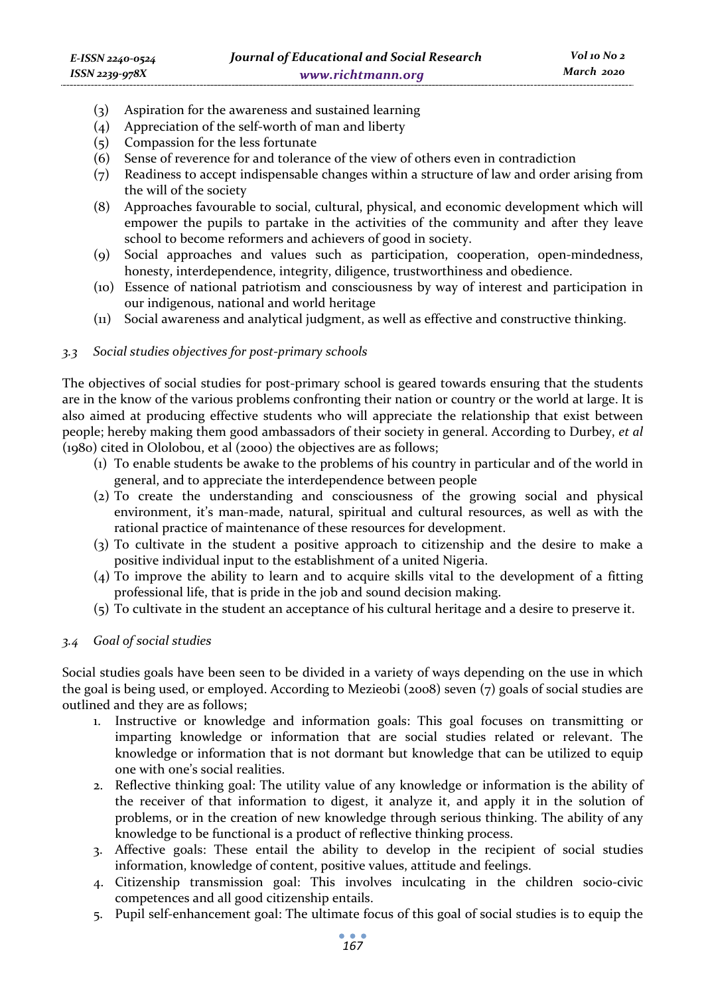- (3) Aspiration for the awareness and sustained learning
- (4) Appreciation of the self-worth of man and liberty
- (5) Compassion for the less fortunate
- (6) Sense of reverence for and tolerance of the view of others even in contradiction
- (7) Readiness to accept indispensable changes within a structure of law and order arising from the will of the society
- (8) Approaches favourable to social, cultural, physical, and economic development which will empower the pupils to partake in the activities of the community and after they leave school to become reformers and achievers of good in society.
- (9) Social approaches and values such as participation, cooperation, open-mindedness, honesty, interdependence, integrity, diligence, trustworthiness and obedience.
- (10) Essence of national patriotism and consciousness by way of interest and participation in our indigenous, national and world heritage
- (11) Social awareness and analytical judgment, as well as effective and constructive thinking.

#### *3.3 Social studies objectives for post-primary schools*

The objectives of social studies for post-primary school is geared towards ensuring that the students are in the know of the various problems confronting their nation or country or the world at large. It is also aimed at producing effective students who will appreciate the relationship that exist between people; hereby making them good ambassadors of their society in general. According to Durbey, *et al* (1980) cited in Ololobou, et al (2000) the objectives are as follows;

- (1) To enable students be awake to the problems of his country in particular and of the world in general, and to appreciate the interdependence between people
- (2) To create the understanding and consciousness of the growing social and physical environment, it's man-made, natural, spiritual and cultural resources, as well as with the rational practice of maintenance of these resources for development.
- (3) To cultivate in the student a positive approach to citizenship and the desire to make a positive individual input to the establishment of a united Nigeria.
- (4) To improve the ability to learn and to acquire skills vital to the development of a fitting professional life, that is pride in the job and sound decision making.
- (5) To cultivate in the student an acceptance of his cultural heritage and a desire to preserve it.

### *3.4 Goal of social studies*

Social studies goals have been seen to be divided in a variety of ways depending on the use in which the goal is being used, or employed. According to Mezieobi (2008) seven (7) goals of social studies are outlined and they are as follows;

- 1. Instructive or knowledge and information goals: This goal focuses on transmitting or imparting knowledge or information that are social studies related or relevant. The knowledge or information that is not dormant but knowledge that can be utilized to equip one with one's social realities.
- 2. Reflective thinking goal: The utility value of any knowledge or information is the ability of the receiver of that information to digest, it analyze it, and apply it in the solution of problems, or in the creation of new knowledge through serious thinking. The ability of any knowledge to be functional is a product of reflective thinking process.
- 3. Affective goals: These entail the ability to develop in the recipient of social studies information, knowledge of content, positive values, attitude and feelings.
- 4. Citizenship transmission goal: This involves inculcating in the children socio-civic competences and all good citizenship entails.
- 5. Pupil self-enhancement goal: The ultimate focus of this goal of social studies is to equip the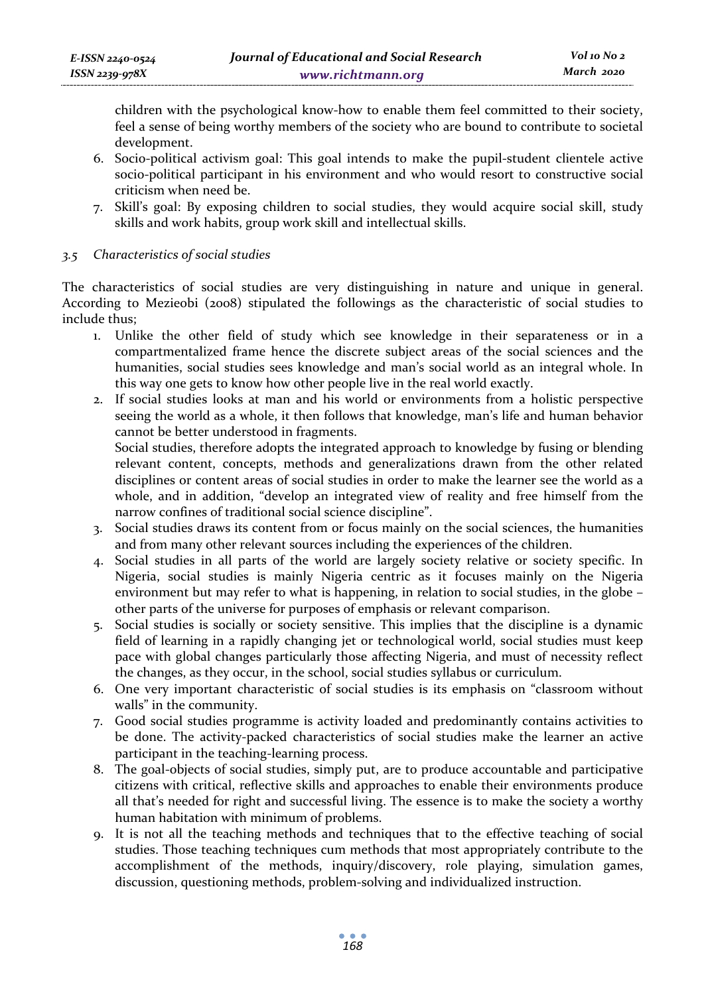children with the psychological know-how to enable them feel committed to their society, feel a sense of being worthy members of the society who are bound to contribute to societal development.

- 6. Socio-political activism goal: This goal intends to make the pupil-student clientele active socio-political participant in his environment and who would resort to constructive social criticism when need be.
- 7. Skill's goal: By exposing children to social studies, they would acquire social skill, study skills and work habits, group work skill and intellectual skills.

### *3.5 Characteristics of social studies*

The characteristics of social studies are very distinguishing in nature and unique in general. According to Mezieobi (2008) stipulated the followings as the characteristic of social studies to include thus;

- 1. Unlike the other field of study which see knowledge in their separateness or in a compartmentalized frame hence the discrete subject areas of the social sciences and the humanities, social studies sees knowledge and man's social world as an integral whole. In this way one gets to know how other people live in the real world exactly.
- 2. If social studies looks at man and his world or environments from a holistic perspective seeing the world as a whole, it then follows that knowledge, man's life and human behavior cannot be better understood in fragments.

Social studies, therefore adopts the integrated approach to knowledge by fusing or blending relevant content, concepts, methods and generalizations drawn from the other related disciplines or content areas of social studies in order to make the learner see the world as a whole, and in addition, "develop an integrated view of reality and free himself from the narrow confines of traditional social science discipline".

- 3. Social studies draws its content from or focus mainly on the social sciences, the humanities and from many other relevant sources including the experiences of the children.
- 4. Social studies in all parts of the world are largely society relative or society specific. In Nigeria, social studies is mainly Nigeria centric as it focuses mainly on the Nigeria environment but may refer to what is happening, in relation to social studies, in the globe – other parts of the universe for purposes of emphasis or relevant comparison.
- 5. Social studies is socially or society sensitive. This implies that the discipline is a dynamic field of learning in a rapidly changing jet or technological world, social studies must keep pace with global changes particularly those affecting Nigeria, and must of necessity reflect the changes, as they occur, in the school, social studies syllabus or curriculum.
- 6. One very important characteristic of social studies is its emphasis on "classroom without walls" in the community.
- 7. Good social studies programme is activity loaded and predominantly contains activities to be done. The activity-packed characteristics of social studies make the learner an active participant in the teaching-learning process.
- 8. The goal-objects of social studies, simply put, are to produce accountable and participative citizens with critical, reflective skills and approaches to enable their environments produce all that's needed for right and successful living. The essence is to make the society a worthy human habitation with minimum of problems.
- 9. It is not all the teaching methods and techniques that to the effective teaching of social studies. Those teaching techniques cum methods that most appropriately contribute to the accomplishment of the methods, inquiry/discovery, role playing, simulation games, discussion, questioning methods, problem-solving and individualized instruction.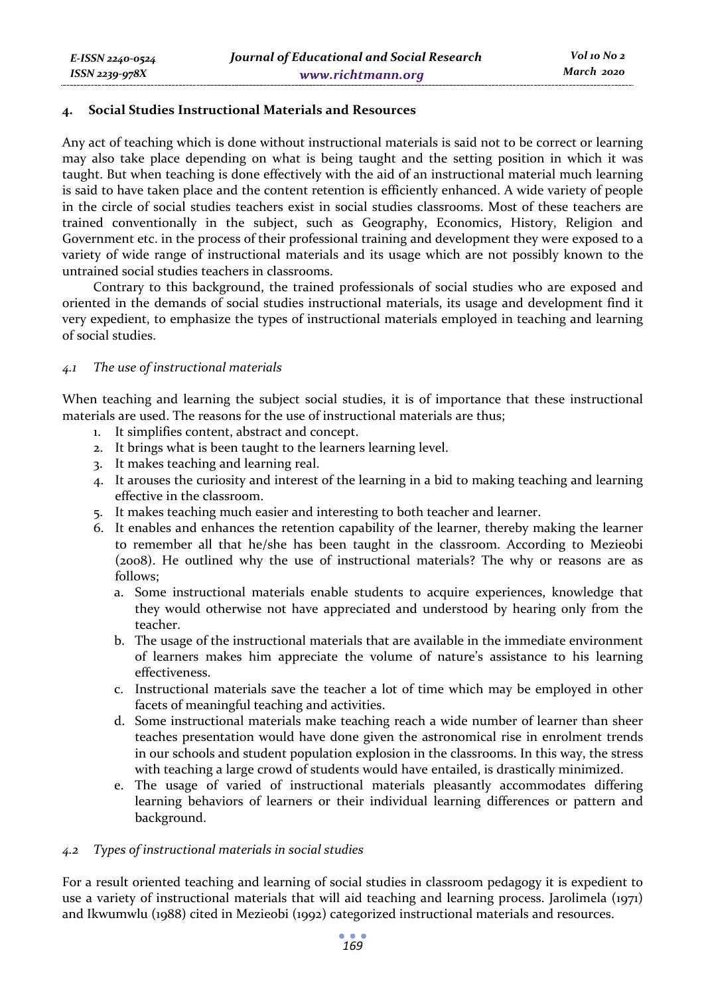#### **4. Social Studies Instructional Materials and Resources**

Any act of teaching which is done without instructional materials is said not to be correct or learning may also take place depending on what is being taught and the setting position in which it was taught. But when teaching is done effectively with the aid of an instructional material much learning is said to have taken place and the content retention is efficiently enhanced. A wide variety of people in the circle of social studies teachers exist in social studies classrooms. Most of these teachers are trained conventionally in the subject, such as Geography, Economics, History, Religion and Government etc. in the process of their professional training and development they were exposed to a variety of wide range of instructional materials and its usage which are not possibly known to the untrained social studies teachers in classrooms.

Contrary to this background, the trained professionals of social studies who are exposed and oriented in the demands of social studies instructional materials, its usage and development find it very expedient, to emphasize the types of instructional materials employed in teaching and learning of social studies.

#### *4.1 The use of instructional materials*

When teaching and learning the subject social studies, it is of importance that these instructional materials are used. The reasons for the use of instructional materials are thus;

- 1. It simplifies content, abstract and concept.
- 2. It brings what is been taught to the learners learning level.
- 3. It makes teaching and learning real.
- 4. It arouses the curiosity and interest of the learning in a bid to making teaching and learning effective in the classroom.
- 5. It makes teaching much easier and interesting to both teacher and learner.
- 6. It enables and enhances the retention capability of the learner, thereby making the learner to remember all that he/she has been taught in the classroom. According to Mezieobi (2008). He outlined why the use of instructional materials? The why or reasons are as follows;
	- a. Some instructional materials enable students to acquire experiences, knowledge that they would otherwise not have appreciated and understood by hearing only from the teacher.
	- b. The usage of the instructional materials that are available in the immediate environment of learners makes him appreciate the volume of nature's assistance to his learning effectiveness.
	- c. Instructional materials save the teacher a lot of time which may be employed in other facets of meaningful teaching and activities.
	- d. Some instructional materials make teaching reach a wide number of learner than sheer teaches presentation would have done given the astronomical rise in enrolment trends in our schools and student population explosion in the classrooms. In this way, the stress with teaching a large crowd of students would have entailed, is drastically minimized.
	- e. The usage of varied of instructional materials pleasantly accommodates differing learning behaviors of learners or their individual learning differences or pattern and background.

#### *4.2 Types of instructional materials in social studies*

For a result oriented teaching and learning of social studies in classroom pedagogy it is expedient to use a variety of instructional materials that will aid teaching and learning process. Jarolimela (1971) and Ikwumwlu (1988) cited in Mezieobi (1992) categorized instructional materials and resources.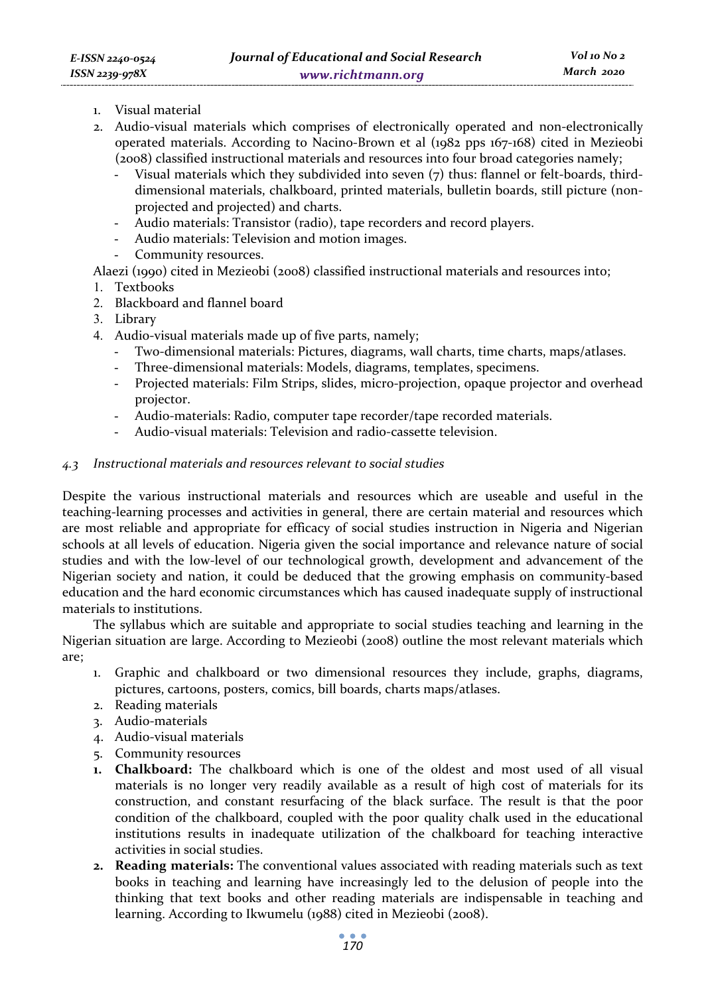- 1. Visual material
- 2. Audio-visual materials which comprises of electronically operated and non-electronically operated materials. According to Nacino-Brown et al (1982 pps 167-168) cited in Mezieobi (2008) classified instructional materials and resources into four broad categories namely;
	- Visual materials which they subdivided into seven (7) thus: flannel or felt-boards, thirddimensional materials, chalkboard, printed materials, bulletin boards, still picture (nonprojected and projected) and charts.
	- Audio materials: Transistor (radio), tape recorders and record players.
	- Audio materials: Television and motion images.
	- Community resources.

Alaezi (1990) cited in Mezieobi (2008) classified instructional materials and resources into;

- 1. Textbooks
- 2. Blackboard and flannel board
- 3. Library
- 4. Audio-visual materials made up of five parts, namely;
	- Two-dimensional materials: Pictures, diagrams, wall charts, time charts, maps/atlases.
	- Three-dimensional materials: Models, diagrams, templates, specimens.
	- Projected materials: Film Strips, slides, micro-projection, opaque projector and overhead projector.
	- Audio-materials: Radio, computer tape recorder/tape recorded materials.
	- Audio-visual materials: Television and radio-cassette television.

#### *4.3 Instructional materials and resources relevant to social studies*

Despite the various instructional materials and resources which are useable and useful in the teaching-learning processes and activities in general, there are certain material and resources which are most reliable and appropriate for efficacy of social studies instruction in Nigeria and Nigerian schools at all levels of education. Nigeria given the social importance and relevance nature of social studies and with the low-level of our technological growth, development and advancement of the Nigerian society and nation, it could be deduced that the growing emphasis on community-based education and the hard economic circumstances which has caused inadequate supply of instructional materials to institutions.

The syllabus which are suitable and appropriate to social studies teaching and learning in the Nigerian situation are large. According to Mezieobi (2008) outline the most relevant materials which are;

- 1. Graphic and chalkboard or two dimensional resources they include, graphs, diagrams, pictures, cartoons, posters, comics, bill boards, charts maps/atlases.
- 2. Reading materials
- 3. Audio-materials
- 4. Audio-visual materials
- 5. Community resources
- **1. Chalkboard:** The chalkboard which is one of the oldest and most used of all visual materials is no longer very readily available as a result of high cost of materials for its construction, and constant resurfacing of the black surface. The result is that the poor condition of the chalkboard, coupled with the poor quality chalk used in the educational institutions results in inadequate utilization of the chalkboard for teaching interactive activities in social studies.
- **2. Reading materials:** The conventional values associated with reading materials such as text books in teaching and learning have increasingly led to the delusion of people into the thinking that text books and other reading materials are indispensable in teaching and learning. According to Ikwumelu (1988) cited in Mezieobi (2008).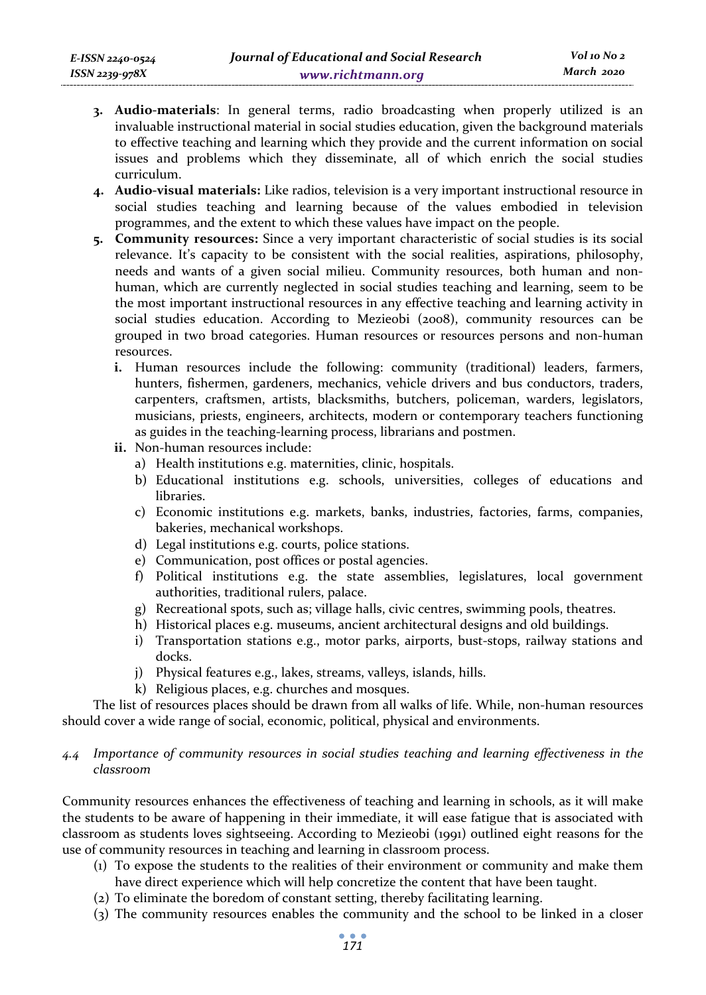- **3. Audio-materials**: In general terms, radio broadcasting when properly utilized is an invaluable instructional material in social studies education, given the background materials to effective teaching and learning which they provide and the current information on social issues and problems which they disseminate, all of which enrich the social studies curriculum.
- **4. Audio-visual materials:** Like radios, television is a very important instructional resource in social studies teaching and learning because of the values embodied in television programmes, and the extent to which these values have impact on the people.
- **5. Community resources:** Since a very important characteristic of social studies is its social relevance. It's capacity to be consistent with the social realities, aspirations, philosophy, needs and wants of a given social milieu. Community resources, both human and nonhuman, which are currently neglected in social studies teaching and learning, seem to be the most important instructional resources in any effective teaching and learning activity in social studies education. According to Mezieobi (2008), community resources can be grouped in two broad categories. Human resources or resources persons and non-human resources.
	- **i.** Human resources include the following: community (traditional) leaders, farmers, hunters, fishermen, gardeners, mechanics, vehicle drivers and bus conductors, traders, carpenters, craftsmen, artists, blacksmiths, butchers, policeman, warders, legislators, musicians, priests, engineers, architects, modern or contemporary teachers functioning as guides in the teaching-learning process, librarians and postmen.
	- **ii.** Non-human resources include:
		- a) Health institutions e.g. maternities, clinic, hospitals.
		- b) Educational institutions e.g. schools, universities, colleges of educations and libraries.
		- c) Economic institutions e.g. markets, banks, industries, factories, farms, companies, bakeries, mechanical workshops.
		- d) Legal institutions e.g. courts, police stations.
		- e) Communication, post offices or postal agencies.
		- f) Political institutions e.g. the state assemblies, legislatures, local government authorities, traditional rulers, palace.
		- g) Recreational spots, such as; village halls, civic centres, swimming pools, theatres.
		- h) Historical places e.g. museums, ancient architectural designs and old buildings.
		- i) Transportation stations e.g., motor parks, airports, bust-stops, railway stations and docks.
		- j) Physical features e.g., lakes, streams, valleys, islands, hills.
		- k) Religious places, e.g. churches and mosques.

The list of resources places should be drawn from all walks of life. While, non-human resources should cover a wide range of social, economic, political, physical and environments.

### *4.4 Importance of community resources in social studies teaching and learning effectiveness in the classroom*

Community resources enhances the effectiveness of teaching and learning in schools, as it will make the students to be aware of happening in their immediate, it will ease fatigue that is associated with classroom as students loves sightseeing. According to Mezieobi (1991) outlined eight reasons for the use of community resources in teaching and learning in classroom process.

- (1) To expose the students to the realities of their environment or community and make them have direct experience which will help concretize the content that have been taught.
- (2) To eliminate the boredom of constant setting, thereby facilitating learning.
- (3) The community resources enables the community and the school to be linked in a closer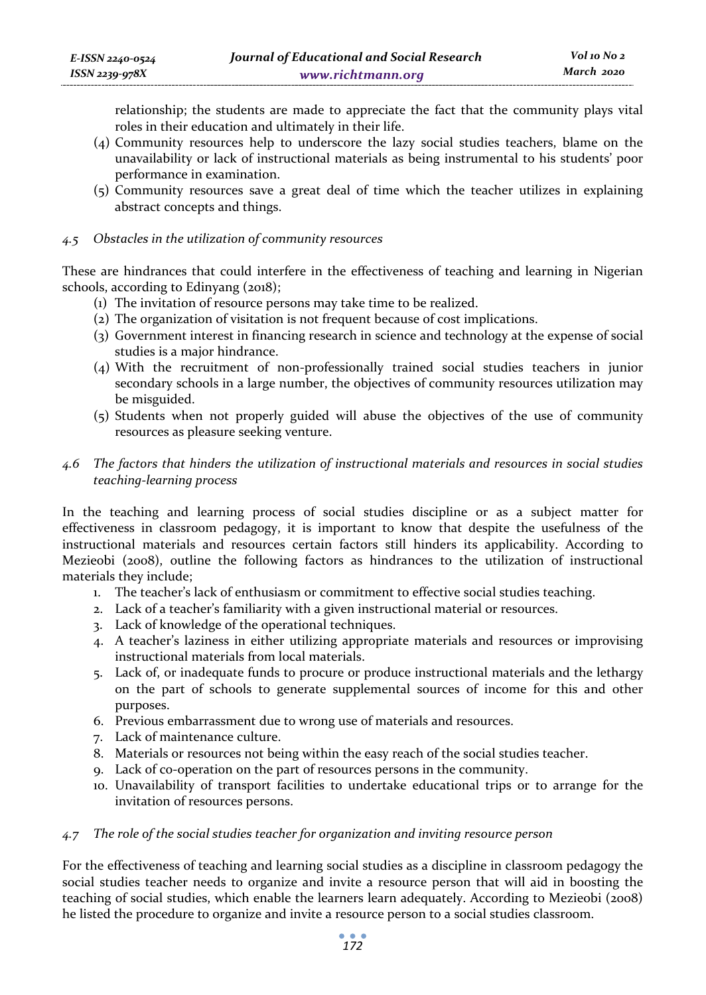relationship; the students are made to appreciate the fact that the community plays vital roles in their education and ultimately in their life.

- (4) Community resources help to underscore the lazy social studies teachers, blame on the unavailability or lack of instructional materials as being instrumental to his students' poor performance in examination.
- (5) Community resources save a great deal of time which the teacher utilizes in explaining abstract concepts and things.

#### *4.5 Obstacles in the utilization of community resources*

These are hindrances that could interfere in the effectiveness of teaching and learning in Nigerian schools, according to Edinyang (2018);

- (1) The invitation of resource persons may take time to be realized.
- (2) The organization of visitation is not frequent because of cost implications.
- (3) Government interest in financing research in science and technology at the expense of social studies is a major hindrance.
- (4) With the recruitment of non-professionally trained social studies teachers in junior secondary schools in a large number, the objectives of community resources utilization may be misguided.
- (5) Students when not properly guided will abuse the objectives of the use of community resources as pleasure seeking venture.

### *4.6 The factors that hinders the utilization of instructional materials and resources in social studies teaching-learning process*

In the teaching and learning process of social studies discipline or as a subject matter for effectiveness in classroom pedagogy, it is important to know that despite the usefulness of the instructional materials and resources certain factors still hinders its applicability. According to Mezieobi (2008), outline the following factors as hindrances to the utilization of instructional materials they include;

- 1. The teacher's lack of enthusiasm or commitment to effective social studies teaching.
- 2. Lack of a teacher's familiarity with a given instructional material or resources.
- 3. Lack of knowledge of the operational techniques.
- 4. A teacher's laziness in either utilizing appropriate materials and resources or improvising instructional materials from local materials.
- 5. Lack of, or inadequate funds to procure or produce instructional materials and the lethargy on the part of schools to generate supplemental sources of income for this and other purposes.
- 6. Previous embarrassment due to wrong use of materials and resources.
- 7. Lack of maintenance culture.
- 8. Materials or resources not being within the easy reach of the social studies teacher.
- 9. Lack of co-operation on the part of resources persons in the community.
- 10. Unavailability of transport facilities to undertake educational trips or to arrange for the invitation of resources persons.

#### *4.7 The role of the social studies teacher for organization and inviting resource person*

For the effectiveness of teaching and learning social studies as a discipline in classroom pedagogy the social studies teacher needs to organize and invite a resource person that will aid in boosting the teaching of social studies, which enable the learners learn adequately. According to Mezieobi (2008) he listed the procedure to organize and invite a resource person to a social studies classroom.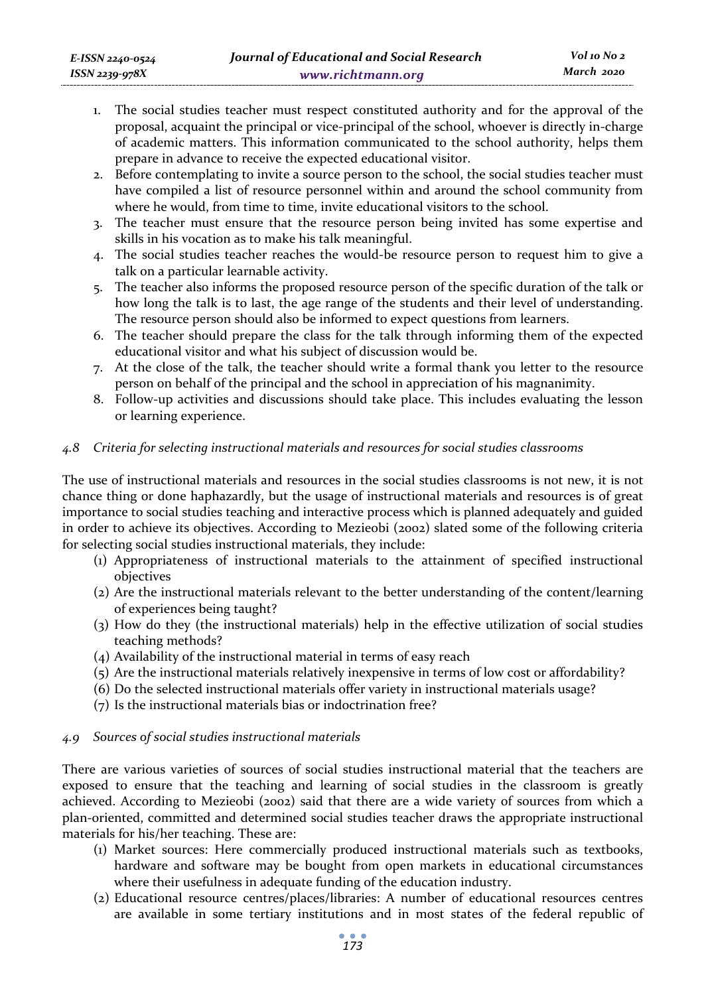- 1. The social studies teacher must respect constituted authority and for the approval of the proposal, acquaint the principal or vice-principal of the school, whoever is directly in-charge of academic matters. This information communicated to the school authority, helps them prepare in advance to receive the expected educational visitor.
- 2. Before contemplating to invite a source person to the school, the social studies teacher must have compiled a list of resource personnel within and around the school community from where he would, from time to time, invite educational visitors to the school.
- 3. The teacher must ensure that the resource person being invited has some expertise and skills in his vocation as to make his talk meaningful.
- 4. The social studies teacher reaches the would-be resource person to request him to give a talk on a particular learnable activity.
- 5. The teacher also informs the proposed resource person of the specific duration of the talk or how long the talk is to last, the age range of the students and their level of understanding. The resource person should also be informed to expect questions from learners.
- 6. The teacher should prepare the class for the talk through informing them of the expected educational visitor and what his subject of discussion would be.
- 7. At the close of the talk, the teacher should write a formal thank you letter to the resource person on behalf of the principal and the school in appreciation of his magnanimity.
- 8. Follow-up activities and discussions should take place. This includes evaluating the lesson or learning experience.

### *4.8 Criteria for selecting instructional materials and resources for social studies classrooms*

The use of instructional materials and resources in the social studies classrooms is not new, it is not chance thing or done haphazardly, but the usage of instructional materials and resources is of great importance to social studies teaching and interactive process which is planned adequately and guided in order to achieve its objectives. According to Mezieobi (2002) slated some of the following criteria for selecting social studies instructional materials, they include:

- (1) Appropriateness of instructional materials to the attainment of specified instructional objectives
- (2) Are the instructional materials relevant to the better understanding of the content/learning of experiences being taught?
- (3) How do they (the instructional materials) help in the effective utilization of social studies teaching methods?
- (4) Availability of the instructional material in terms of easy reach
- (5) Are the instructional materials relatively inexpensive in terms of low cost or affordability?
- (6) Do the selected instructional materials offer variety in instructional materials usage?
- (7) Is the instructional materials bias or indoctrination free?

### *4.9 Sources of social studies instructional materials*

There are various varieties of sources of social studies instructional material that the teachers are exposed to ensure that the teaching and learning of social studies in the classroom is greatly achieved. According to Mezieobi (2002) said that there are a wide variety of sources from which a plan-oriented, committed and determined social studies teacher draws the appropriate instructional materials for his/her teaching. These are:

- (1) Market sources: Here commercially produced instructional materials such as textbooks, hardware and software may be bought from open markets in educational circumstances where their usefulness in adequate funding of the education industry.
- (2) Educational resource centres/places/libraries: A number of educational resources centres are available in some tertiary institutions and in most states of the federal republic of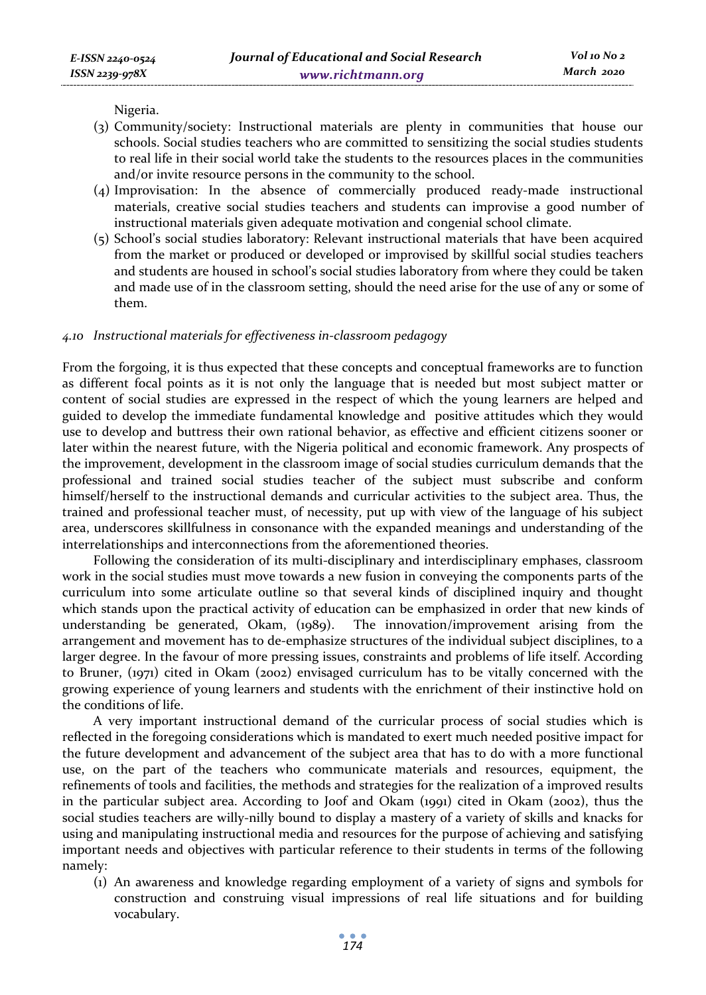Nigeria.

- (3) Community/society: Instructional materials are plenty in communities that house our schools. Social studies teachers who are committed to sensitizing the social studies students to real life in their social world take the students to the resources places in the communities and/or invite resource persons in the community to the school.
- (4) Improvisation: In the absence of commercially produced ready-made instructional materials, creative social studies teachers and students can improvise a good number of instructional materials given adequate motivation and congenial school climate.
- (5) School's social studies laboratory: Relevant instructional materials that have been acquired from the market or produced or developed or improvised by skillful social studies teachers and students are housed in school's social studies laboratory from where they could be taken and made use of in the classroom setting, should the need arise for the use of any or some of them.

### *4.10 Instructional materials for effectiveness in-classroom pedagogy*

From the forgoing, it is thus expected that these concepts and conceptual frameworks are to function as different focal points as it is not only the language that is needed but most subject matter or content of social studies are expressed in the respect of which the young learners are helped and guided to develop the immediate fundamental knowledge and positive attitudes which they would use to develop and buttress their own rational behavior, as effective and efficient citizens sooner or later within the nearest future, with the Nigeria political and economic framework. Any prospects of the improvement, development in the classroom image of social studies curriculum demands that the professional and trained social studies teacher of the subject must subscribe and conform himself/herself to the instructional demands and curricular activities to the subject area. Thus, the trained and professional teacher must, of necessity, put up with view of the language of his subject area, underscores skillfulness in consonance with the expanded meanings and understanding of the interrelationships and interconnections from the aforementioned theories.

Following the consideration of its multi-disciplinary and interdisciplinary emphases, classroom work in the social studies must move towards a new fusion in conveying the components parts of the curriculum into some articulate outline so that several kinds of disciplined inquiry and thought which stands upon the practical activity of education can be emphasized in order that new kinds of understanding be generated, Okam, (1989). The innovation/improvement arising from the arrangement and movement has to de-emphasize structures of the individual subject disciplines, to a larger degree. In the favour of more pressing issues, constraints and problems of life itself. According to Bruner, (1971) cited in Okam (2002) envisaged curriculum has to be vitally concerned with the growing experience of young learners and students with the enrichment of their instinctive hold on the conditions of life.

A very important instructional demand of the curricular process of social studies which is reflected in the foregoing considerations which is mandated to exert much needed positive impact for the future development and advancement of the subject area that has to do with a more functional use, on the part of the teachers who communicate materials and resources, equipment, the refinements of tools and facilities, the methods and strategies for the realization of a improved results in the particular subject area. According to Joof and Okam (1991) cited in Okam (2002), thus the social studies teachers are willy-nilly bound to display a mastery of a variety of skills and knacks for using and manipulating instructional media and resources for the purpose of achieving and satisfying important needs and objectives with particular reference to their students in terms of the following namely:

(1) An awareness and knowledge regarding employment of a variety of signs and symbols for construction and construing visual impressions of real life situations and for building vocabulary.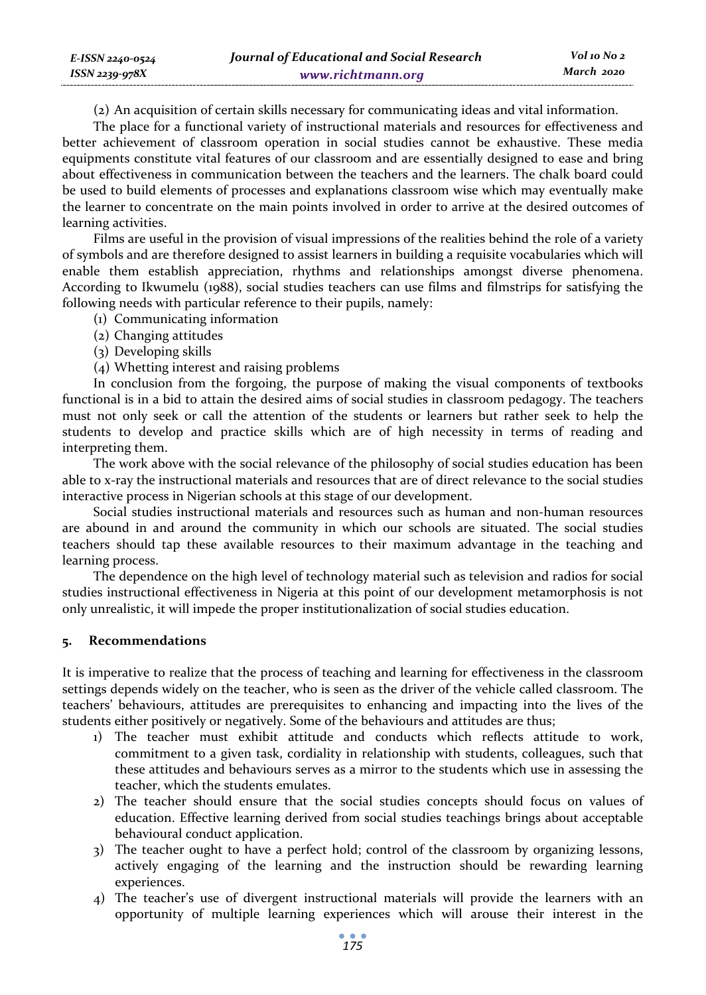(2) An acquisition of certain skills necessary for communicating ideas and vital information.

The place for a functional variety of instructional materials and resources for effectiveness and better achievement of classroom operation in social studies cannot be exhaustive. These media equipments constitute vital features of our classroom and are essentially designed to ease and bring about effectiveness in communication between the teachers and the learners. The chalk board could be used to build elements of processes and explanations classroom wise which may eventually make the learner to concentrate on the main points involved in order to arrive at the desired outcomes of learning activities.

Films are useful in the provision of visual impressions of the realities behind the role of a variety of symbols and are therefore designed to assist learners in building a requisite vocabularies which will enable them establish appreciation, rhythms and relationships amongst diverse phenomena. According to Ikwumelu (1988), social studies teachers can use films and filmstrips for satisfying the following needs with particular reference to their pupils, namely:

- (1) Communicating information
- (2) Changing attitudes
- (3) Developing skills
- (4) Whetting interest and raising problems

In conclusion from the forgoing, the purpose of making the visual components of textbooks functional is in a bid to attain the desired aims of social studies in classroom pedagogy. The teachers must not only seek or call the attention of the students or learners but rather seek to help the students to develop and practice skills which are of high necessity in terms of reading and interpreting them.

The work above with the social relevance of the philosophy of social studies education has been able to x-ray the instructional materials and resources that are of direct relevance to the social studies interactive process in Nigerian schools at this stage of our development.

Social studies instructional materials and resources such as human and non-human resources are abound in and around the community in which our schools are situated. The social studies teachers should tap these available resources to their maximum advantage in the teaching and learning process.

The dependence on the high level of technology material such as television and radios for social studies instructional effectiveness in Nigeria at this point of our development metamorphosis is not only unrealistic, it will impede the proper institutionalization of social studies education.

#### **5. Recommendations**

It is imperative to realize that the process of teaching and learning for effectiveness in the classroom settings depends widely on the teacher, who is seen as the driver of the vehicle called classroom. The teachers' behaviours, attitudes are prerequisites to enhancing and impacting into the lives of the students either positively or negatively. Some of the behaviours and attitudes are thus;

- 1) The teacher must exhibit attitude and conducts which reflects attitude to work, commitment to a given task, cordiality in relationship with students, colleagues, such that these attitudes and behaviours serves as a mirror to the students which use in assessing the teacher, which the students emulates.
- 2) The teacher should ensure that the social studies concepts should focus on values of education. Effective learning derived from social studies teachings brings about acceptable behavioural conduct application.
- 3) The teacher ought to have a perfect hold; control of the classroom by organizing lessons, actively engaging of the learning and the instruction should be rewarding learning experiences.
- 4) The teacher's use of divergent instructional materials will provide the learners with an opportunity of multiple learning experiences which will arouse their interest in the